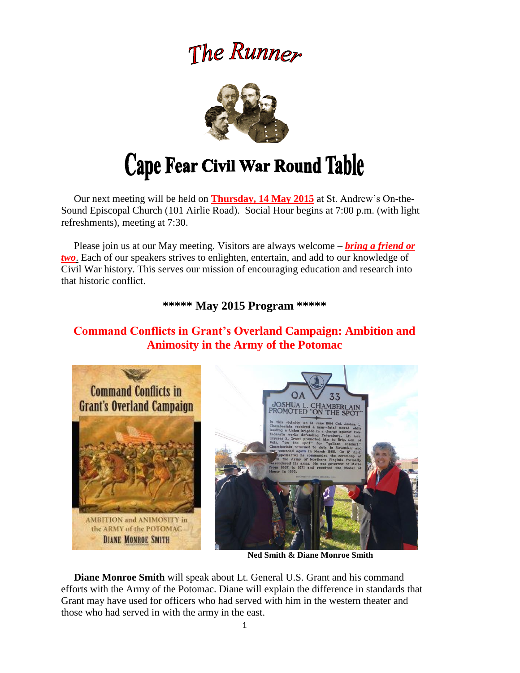## The Runner



# Cape Fear Civil War Round Table

 Our next meeting will be held on **Thursday, 14 May 2015** at St. Andrew's On-the-Sound Episcopal Church (101 Airlie Road). Social Hour begins at 7:00 p.m. (with light refreshments), meeting at 7:30.

 Please join us at our May meeting. Visitors are always welcome – *bring a friend or two*. Each of our speakers strives to enlighten, entertain, and add to our knowledge of Civil War history. This serves our mission of encouraging education and research into that historic conflict.

**\*\*\*\*\* May 2015 Program \*\*\*\*\***

## **Command Conflicts in Grant's Overland Campaign: Ambition and Animosity in the Army of the Potomac**



**Ned Smith & Diane Monroe Smith**

 **Diane Monroe Smith** will speak about Lt. General U.S. Grant and his command efforts with the Army of the Potomac. Diane will explain the difference in standards that Grant may have used for officers who had served with him in the western theater and those who had served in with the army in the east.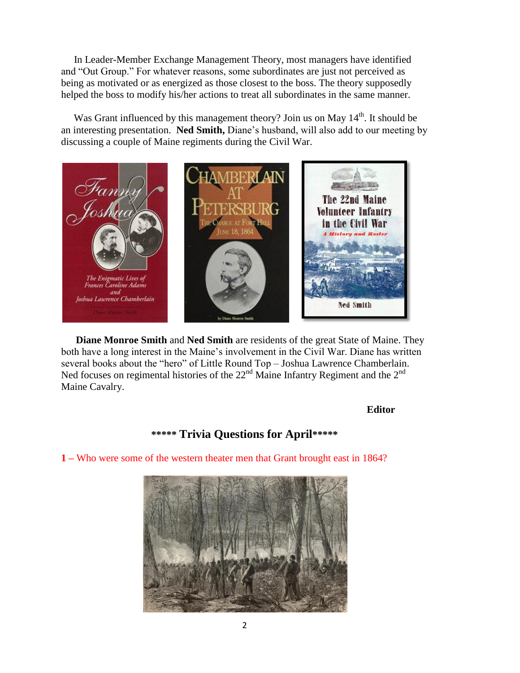In Leader-Member Exchange Management Theory, most managers have identified and "Out Group." For whatever reasons, some subordinates are just not perceived as being as motivated or as energized as those closest to the boss. The theory supposedly helped the boss to modify his/her actions to treat all subordinates in the same manner.

Was Grant influenced by this management theory? Join us on May  $14<sup>th</sup>$ . It should be an interesting presentation. **Ned Smith,** Diane's husband, will also add to our meeting by discussing a couple of Maine regiments during the Civil War.



 **Diane Monroe Smith** and **Ned Smith** are residents of the great State of Maine. They both have a long interest in the Maine's involvement in the Civil War. Diane has written several books about the "hero" of Little Round Top – Joshua Lawrence Chamberlain. Ned focuses on regimental histories of the  $22<sup>nd</sup>$  Maine Infantry Regiment and the  $2<sup>nd</sup>$ Maine Cavalry.

#### **Editor**

### **\*\*\*\*\* Trivia Questions for April\*\*\*\*\***

**1 –** Who were some of the western theater men that Grant brought east in 1864?

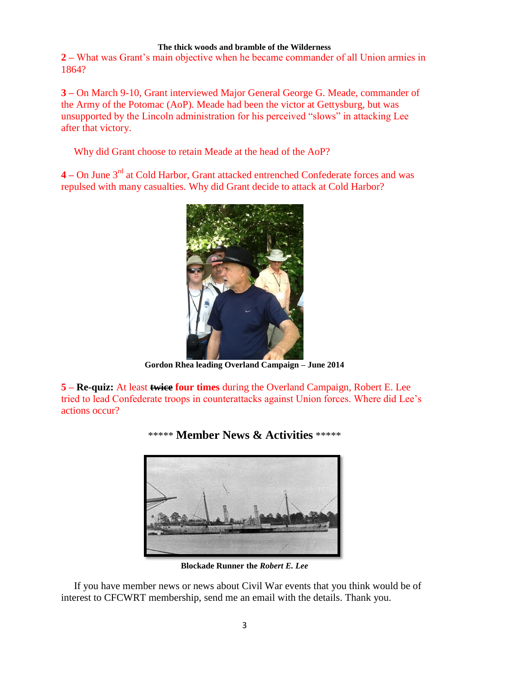#### **The thick woods and bramble of the Wilderness**

**2 –** What was Grant's main objective when he became commander of all Union armies in 1864?

**3 –** On March 9-10, Grant interviewed Major General George G. Meade, commander of the Army of the Potomac (AoP). Meade had been the victor at Gettysburg, but was unsupported by the Lincoln administration for his perceived "slows" in attacking Lee after that victory.

Why did Grant choose to retain Meade at the head of the AoP?

**4 –** On June 3rd at Cold Harbor, Grant attacked entrenched Confederate forces and was repulsed with many casualties. Why did Grant decide to attack at Cold Harbor?



**Gordon Rhea leading Overland Campaign – June 2014**

**5 – Re-quiz:** At least **twice four times** during the Overland Campaign, Robert E. Lee tried to lead Confederate troops in counterattacks against Union forces. Where did Lee's actions occur?



\*\*\*\*\* **Member News & Activities** \*\*\*\*\*

**Blockade Runner the** *Robert E. Lee*

 If you have member news or news about Civil War events that you think would be of interest to CFCWRT membership, send me an email with the details. Thank you.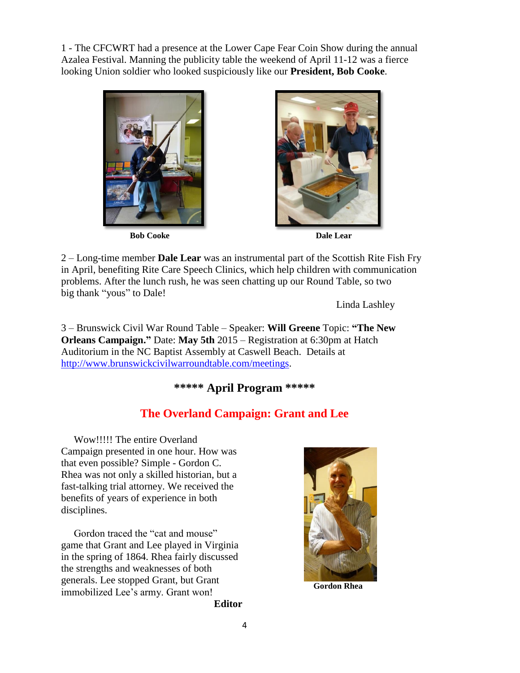1 - The CFCWRT had a presence at the Lower Cape Fear Coin Show during the annual Azalea Festival. Manning the publicity table the weekend of April 11-12 was a fierce looking Union soldier who looked suspiciously like our **President, Bob Cooke**.



**Bob Cooke** Dale Lear



2 – Long-time member **Dale Lear** was an instrumental part of the Scottish Rite Fish Fry in April, benefiting Rite Care Speech Clinics, which help children with communication problems. After the lunch rush, he was seen chatting up our Round Table, so two big thank "yous" to Dale!

Linda Lashley

3 – Brunswick Civil War Round Table – Speaker: **Will Greene** Topic: **"The New Orleans Campaign."** Date: **May 5th** 2015 – Registration at 6:30pm at Hatch Auditorium in the NC Baptist Assembly at Caswell Beach. Details at [http://www.brunswickcivilwarroundtable.com/meetings.](http://www.brunswickcivilwarroundtable.com/meetings)

## **\*\*\*\*\* April Program \*\*\*\*\***

## **The Overland Campaign: Grant and Lee**

 Wow!!!!! The entire Overland Campaign presented in one hour. How was that even possible? Simple - Gordon C. Rhea was not only a skilled historian, but a fast-talking trial attorney. We received the benefits of years of experience in both disciplines.

 Gordon traced the "cat and mouse" game that Grant and Lee played in Virginia in the spring of 1864. Rhea fairly discussed the strengths and weaknesses of both generals. Lee stopped Grant, but Grant generals. Ecc stopped Grant, out Grant **Gordon Rhea**<br>immobilized Lee's army. Grant won!

**Editor**

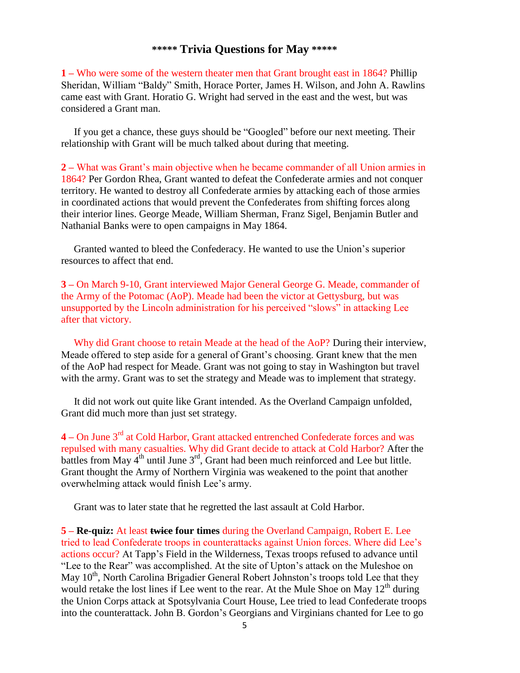#### **\*\*\*\*\* Trivia Questions for May \*\*\*\*\***

**1 –** Who were some of the western theater men that Grant brought east in 1864? Phillip Sheridan, William "Baldy" Smith, Horace Porter, James H. Wilson, and John A. Rawlins came east with Grant. Horatio G. Wright had served in the east and the west, but was considered a Grant man.

 If you get a chance, these guys should be "Googled" before our next meeting. Their relationship with Grant will be much talked about during that meeting.

**2 –** What was Grant's main objective when he became commander of all Union armies in 1864? Per Gordon Rhea, Grant wanted to defeat the Confederate armies and not conquer territory. He wanted to destroy all Confederate armies by attacking each of those armies in coordinated actions that would prevent the Confederates from shifting forces along their interior lines. George Meade, William Sherman, Franz Sigel, Benjamin Butler and Nathanial Banks were to open campaigns in May 1864.

 Granted wanted to bleed the Confederacy. He wanted to use the Union's superior resources to affect that end.

**3 –** On March 9-10, Grant interviewed Major General George G. Meade, commander of the Army of the Potomac (AoP). Meade had been the victor at Gettysburg, but was unsupported by the Lincoln administration for his perceived "slows" in attacking Lee after that victory.

Why did Grant choose to retain Meade at the head of the AoP? During their interview, Meade offered to step aside for a general of Grant's choosing. Grant knew that the men of the AoP had respect for Meade. Grant was not going to stay in Washington but travel with the army. Grant was to set the strategy and Meade was to implement that strategy.

 It did not work out quite like Grant intended. As the Overland Campaign unfolded, Grant did much more than just set strategy.

**4 –** On June 3rd at Cold Harbor, Grant attacked entrenched Confederate forces and was repulsed with many casualties. Why did Grant decide to attack at Cold Harbor? After the battles from May  $4^{th}$  until June  $3^{rd}$ , Grant had been much reinforced and Lee but little. Grant thought the Army of Northern Virginia was weakened to the point that another overwhelming attack would finish Lee's army.

Grant was to later state that he regretted the last assault at Cold Harbor.

**5 – Re-quiz:** At least **twice four times** during the Overland Campaign, Robert E. Lee tried to lead Confederate troops in counterattacks against Union forces. Where did Lee's actions occur? At Tapp's Field in the Wilderness, Texas troops refused to advance until "Lee to the Rear" was accomplished. At the site of Upton's attack on the Muleshoe on May  $10<sup>th</sup>$ , North Carolina Brigadier General Robert Johnston's troops told Lee that they would retake the lost lines if Lee went to the rear. At the Mule Shoe on May  $12<sup>th</sup>$  during the Union Corps attack at Spotsylvania Court House, Lee tried to lead Confederate troops into the counterattack. John B. Gordon's Georgians and Virginians chanted for Lee to go